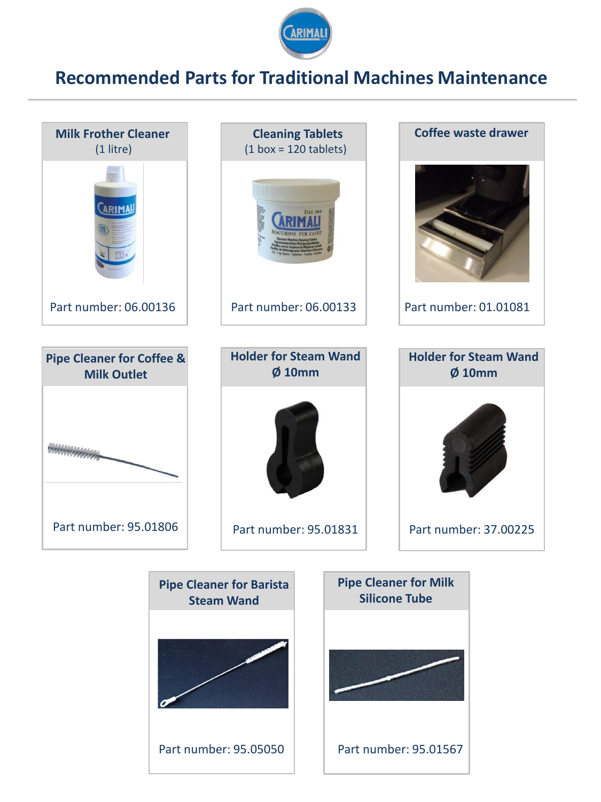

## **Recommended Parts for Traditional Machines Maintenance**

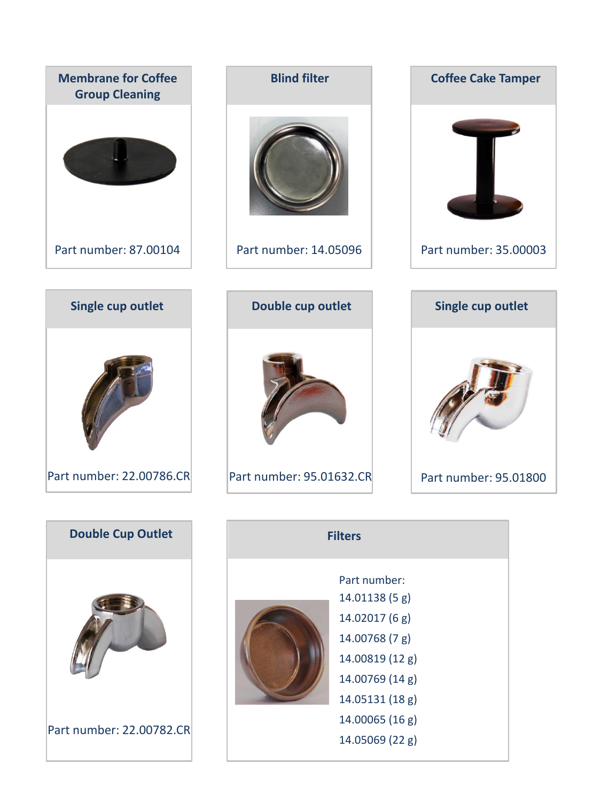

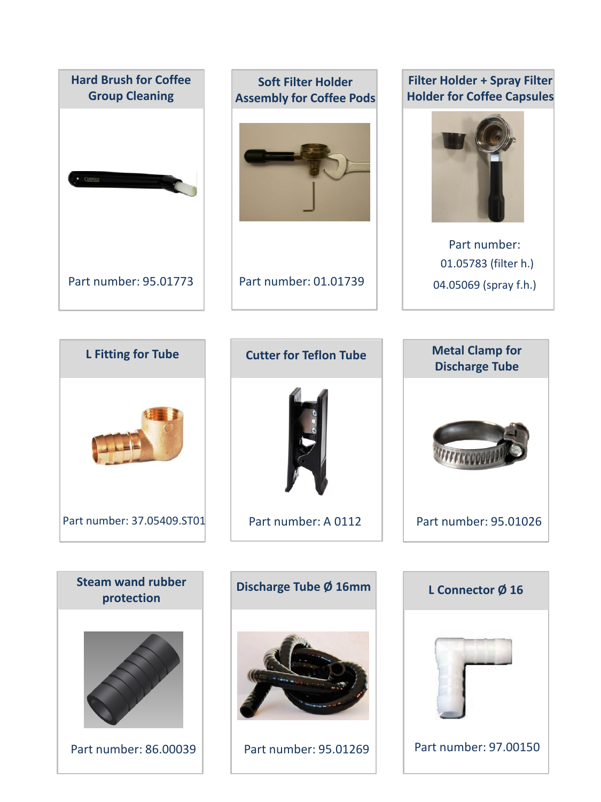